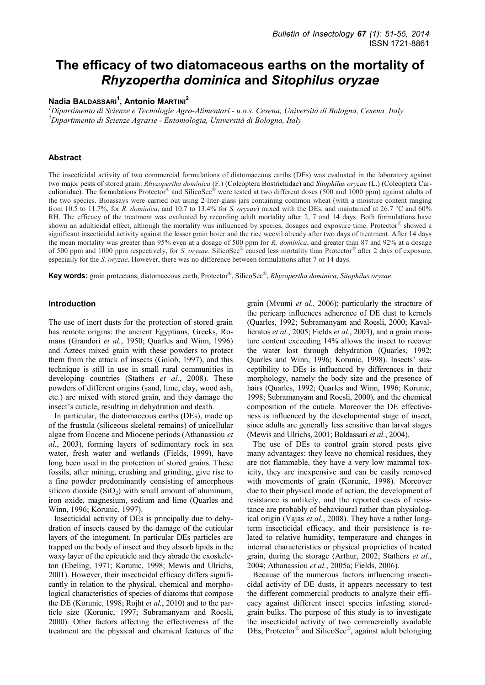# **The efficacy of two diatomaceous earths on the mortality of**  *Rhyzopertha dominica* **and** *Sitophilus oryzae*

# **Nadia BALDASSARI<sup>1</sup> , Antonio MARTINI<sup>2</sup>**

*<sup>1</sup>Dipartimento di Scienze e Tecnologie Agro-Alimentari - u.o.s. Cesena, Università di Bologna, Cesena, Italy <sup>2</sup>Dipartimento di Scienze Agrarie - Entomologia, Università di Bologna, Italy* 

# **Abstract**

The insecticidal activity of two commercial formulations of diatomaceous earths (DEs) was evaluated in the laboratory against two major pests of stored grain: *Rhyzopertha dominica* (F.) (Coleoptera Bostrichidae) and *Sitophilus oryzae* (L.) (Coleoptera Curculionidae). The formulations Protector® and SilicoSec® were tested at two different doses (500 and 1000 ppm) against adults of the two species. Bioassays were carried out using 2-liter-glass jars containing common wheat (with a moisture content ranging from 10.5 to 11.7%, for *R. dominica*, and 10.7 to 13.4% for *S. oryzae*) mixed with the DEs, and maintained at 26.7 °C and 60% RH. The efficacy of the treatment was evaluated by recording adult mortality after 2, 7 and 14 days. Both formulations have shown an adulticidal effect, although the mortality was influenced by species, dosages and exposure time. Protector® showed a significant insecticidal activity against the lesser grain borer and the rice weevil already after two days of treatment. After 14 days the mean mortality was greater than 95% even at a dosage of 500 ppm for *R. dominica*, and greater than 87 and 92% at a dosage of 500 ppm and 1000 ppm respectively, for *S. oryzae*. SilicoSec® caused less mortality than Protector® after 2 days of exposure, especially for the *S. oryzae*. However, there was no difference between formulations after 7 or 14 days.

**Key words:** grain protectans, diatomaceous earth, Protector® , SilicoSec® , *Rhyzopertha dominica*, *Sitophilus oryzae*.

## **Introduction**

The use of inert dusts for the protection of stored grain has remote origins: the ancient Egyptians, Greeks, Romans (Grandori *et al.*, 1950; Quarles and Winn, 1996) and Aztecs mixed grain with these powders to protect them from the attack of insects (Golob, 1997), and this technique is still in use in small rural communities in developing countries (Stathers *et al.*, 2008). These powders of different origins (sand, lime, clay, wood ash, etc.) are mixed with stored grain, and they damage the insect's cuticle, resulting in dehydration and death.

In particular, the diatomaceous earths (DEs), made up of the frustula (siliceous skeletal remains) of unicellular algae from Eocene and Miocene periods (Athanassiou *et al.*, 2003), forming layers of sedimentary rock in sea water, fresh water and wetlands (Fields, 1999), have long been used in the protection of stored grains. These fossils, after mining, crushing and grinding, give rise to a fine powder predominantly consisting of amorphous silicon dioxide  $(SiO<sub>2</sub>)$  with small amount of aluminum, iron oxide, magnesium, sodium and lime (Quarles and Winn, 1996; Korunic, 1997).

Insecticidal activity of DEs is principally due to dehydration of insects caused by the damage of the cuticular layers of the integument. In particular DEs particles are trapped on the body of insect and they absorb lipids in the waxy layer of the epicuticle and they abrade the exoskeleton (Ebeling, 1971; Korunic, 1998; Mewis and Ulrichs, 2001). However, their insecticidal efficacy differs significantly in relation to the physical, chemical and morphological characteristics of species of diatoms that compose the DE (Korunic, 1998; Rojht *et al.*, 2010) and to the particle size (Korunic, 1997; Subramanyam and Roesli, 2000). Other factors affecting the effectiveness of the treatment are the physical and chemical features of the grain (Mvumi *et al.*, 2006); particularly the structure of the pericarp influences adherence of DE dust to kernels (Quarles, 1992; Subramanyam and Roesli, 2000; Kavallieratos *et al.*, 2005; Fields *et al.*, 2003), and a grain moisture content exceeding 14% allows the insect to recover the water lost through dehydration (Quarles, 1992; Quarles and Winn, 1996; Korunic, 1998). Insects' susceptibility to DEs is influenced by differences in their morphology, namely the body size and the presence of hairs (Quarles, 1992; Quarles and Winn, 1996; Korunic, 1998; Subramanyam and Roesli, 2000), and the chemical composition of the cuticle. Moreover the DE effectiveness is influenced by the developmental stage of insect, since adults are generally less sensitive than larval stages (Mewis and Ulrichs, 2001; Baldassari *et al.*, 2004).

The use of DEs to control grain stored pests give many advantages: they leave no chemical residues, they are not flammable, they have a very low mammal toxicity, they are inexpensive and can be easily removed with movements of grain (Korunic, 1998). Moreover due to their physical mode of action, the development of resistance is unlikely, and the reported cases of resistance are probably of behavioural rather than physiological origin (Vajas *et al.*, 2008). They have a rather longterm insecticidal efficacy, and their persistence is related to relative humidity, temperature and changes in internal characteristics or physical proprieties of treated grain, during the storage (Arthur, 2002; Stathers *et al.*, 2004; Athanassiou *et al.*, 2005a; Fields, 2006).

Because of the numerous factors influencing insecticidal activity of DE dusts, it appears necessary to test the different commercial products to analyze their efficacy against different insect species infesting storedgrain bulks. The purpose of this study is to investigate the insecticidal activity of two commercially available DEs, Protector<sup>®</sup> and SilicoSec<sup>®</sup>, against adult belonging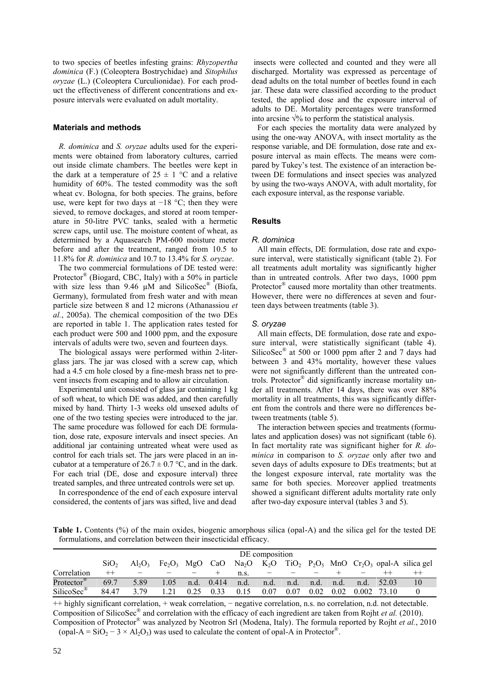to two species of beetles infesting grains: *Rhyzopertha dominica* (F.) (Coleoptera Bostrychidae) and *Sitophilus oryzae* (L.) (Coleoptera Curculionidae). For each product the effectiveness of different concentrations and exposure intervals were evaluated on adult mortality.

## **Materials and methods**

*R. dominica* and *S. oryzae* adults used for the experiments were obtained from laboratory cultures, carried out inside climate chambers. The beetles were kept in the dark at a temperature of  $25 \pm 1$  °C and a relative humidity of 60%. The tested commodity was the soft wheat cv. Bologna, for both species. The grains, before use, were kept for two days at  $-18$  °C; then they were sieved, to remove dockages, and stored at room temperature in 50-litre PVC tanks, sealed with a hermetic screw caps, until use. The moisture content of wheat, as determined by a Aquasearch PM-600 moisture meter before and after the treatment, ranged from 10.5 to 11.8% for *R. dominica* and 10.7 to 13.4% for *S. oryzae*.

The two commercial formulations of DE tested were: Protector<sup>®</sup> (Biogard, CBC, Italy) with a 50% in particle with size less than 9.46  $\mu$ M and SilicoSec<sup>®</sup> (Biofa, Germany), formulated from fresh water and with mean particle size between 8 and 12 microns (Athanassiou *et al.*, 2005a). The chemical composition of the two DEs are reported in table 1. The application rates tested for each product were 500 and 1000 ppm, and the exposure intervals of adults were two, seven and fourteen days.

The biological assays were performed within 2-literglass jars. The jar was closed with a screw cap, which had a 4.5 cm hole closed by a fine-mesh brass net to prevent insects from escaping and to allow air circulation.

Experimental unit consisted of glass jar containing 1 kg of soft wheat, to which DE was added, and then carefully mixed by hand. Thirty 1-3 weeks old unsexed adults of one of the two testing species were introduced to the jar. The same procedure was followed for each DE formulation, dose rate, exposure intervals and insect species. An additional jar containing untreated wheat were used as control for each trials set. The jars were placed in an incubator at a temperature of  $26.7 \pm 0.7$  °C, and in the dark. For each trial (DE, dose and exposure interval) three treated samples, and three untreated controls were set up.

In correspondence of the end of each exposure interval considered, the contents of jars was sifted, live and dead

 insects were collected and counted and they were all discharged. Mortality was expressed as percentage of dead adults on the total number of beetles found in each jar. These data were classified according to the product tested, the applied dose and the exposure interval of adults to DE. Mortality percentages were transformed into arcsine  $\sqrt{\frac{9}{6}}$  to perform the statistical analysis.

For each species the mortality data were analyzed by using the one-way ANOVA, with insect mortality as the response variable, and DE formulation, dose rate and exposure interval as main effects. The means were compared by Tukey's test. The existence of an interaction between DE formulations and insect species was analyzed by using the two-ways ANOVA, with adult mortality, for each exposure interval, as the response variable.

## **Results**

#### *R. dominica*

All main effects, DE formulation, dose rate and exposure interval, were statistically significant (table 2). For all treatments adult mortality was significantly higher than in untreated controls. After two days, 1000 ppm Protector® caused more mortality than other treatments. However, there were no differences at seven and fourteen days between treatments (table 3).

## *S. oryzae*

All main effects, DE formulation, dose rate and exposure interval, were statistically significant (table 4). SilicoSec<sup>®</sup> at 500 or 1000 ppm after 2 and 7 days had between 3 and 43% mortality, however these values were not significantly different than the untreated controls. Protector® did significantly increase mortality under all treatments. After 14 days, there was over 88% mortality in all treatments, this was significantly different from the controls and there were no differences between treatments (table 5).

The interaction between species and treatments (formulates and application doses) was not significant (table 6). In fact mortality rate was significant higher for *R. dominica* in comparison to *S. oryzae* only after two and seven days of adults exposure to DEs treatments; but at the longest exposure interval, rate mortality was the same for both species. Moreover applied treatments showed a significant different adults mortality rate only after two-day exposure interval (tables 3 and 5).

**Table 1.** Contents (%) of the main oxides, biogenic amorphous silica (opal-A) and the silica gel for the tested DE formulations, and correlation between their insecticidal efficacy.

|                        |                  | DE composition |                 |      |       |             |      |      |      |      |       |       |                                                                                                                              |
|------------------------|------------------|----------------|-----------------|------|-------|-------------|------|------|------|------|-------|-------|------------------------------------------------------------------------------------------------------------------------------|
|                        | SiO <sub>2</sub> | $Al_2O_3$      | $Fe2O3$ MgO CaO |      |       |             |      |      |      |      |       |       | Na <sub>2</sub> O $K_2O$ TiO <sub>2</sub> P <sub>2</sub> O <sub>5</sub> MnO Cr <sub>2</sub> O <sub>3</sub> opal-A silica gel |
| Correlation            | $^{++}$          |                |                 |      |       | $n_{\rm s}$ |      |      |      |      |       |       |                                                                                                                              |
| Protector <sup>®</sup> | 69.7             | 5.89           | 1.05            | n.d. | 0.414 | n.d.        | n.d. | n.d. | n.d. | n.d. | n.d.  | 52.03 | 10                                                                                                                           |
| SilicoSec <sup>®</sup> | 84 47            | 3.79           |                 | 0.25 | 0.33  | 0.15        | 0.07 | 0.07 | 0.02 | 0.02 | 0.002 | 73.10 |                                                                                                                              |

++ highly significant correlation, + weak correlation, − negative correlation, n.s. no correlation, n.d. not detectable. Composition of SilicoSec<sup>®</sup> and correlation with the efficacy of each ingredient are taken from Rojht *et al.* (2010). Composition of Protector® was analyzed by Neotron Srl (Modena, Italy). The formula reported by Rojht *et al.*, 2010 (opal-A = SiO<sub>2</sub> – 3 × Al<sub>2</sub>O<sub>3</sub>) was used to calculate the content of opal-A in Protector<sup>®</sup>.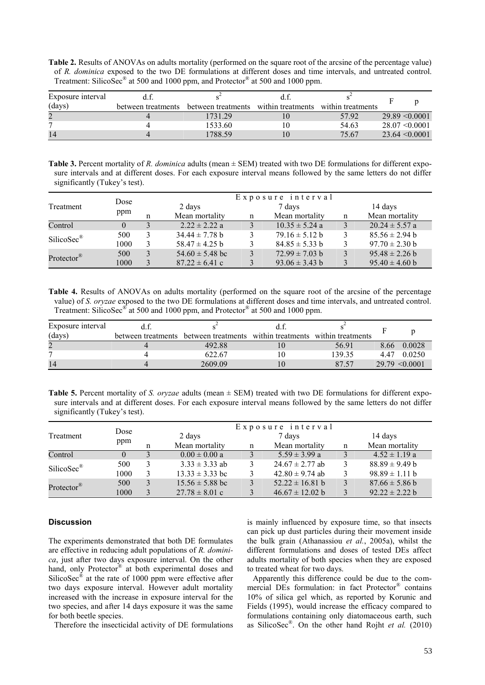**Table 2.** Results of ANOVAs on adults mortality (performed on the square root of the arcsine of the percentage value) of *R. dominica* exposed to the two DE formulations at different doses and time intervals, and untreated control. Treatment: SilicoSec<sup>®</sup> at 500 and 1000 ppm, and Protector<sup>®</sup> at 500 and 1000 ppm.

| Exposure interval |                    |                    |                   |                   |                    |
|-------------------|--------------------|--------------------|-------------------|-------------------|--------------------|
| (days)            | between treatments | between treatments | within treatments | within treatments |                    |
|                   |                    | 1731.29            |                   | 5792              | $29.89 \le 0.0001$ |
| −                 |                    | 1533.60            | 10                | 54.63             | $28.07 \le 0.0001$ |
| 14                |                    | 1788.59            | 10                | 75.67             | $23.64 \le 0.0001$ |

**Table 3.** Percent mortality of *R. dominica* adults (mean ± SEM) treated with two DE formulations for different exposure intervals and at different doses. For each exposure interval means followed by the same letters do not differ significantly (Tukey's test).

|                        |          |        | Exposure interval   |        |                    |   |                    |  |  |
|------------------------|----------|--------|---------------------|--------|--------------------|---|--------------------|--|--|
| Treatment              | Dose     | 2 days |                     | 7 days |                    |   | 14 days            |  |  |
|                        | ppm      |        | Mean mortality      | n      | Mean mortality     | n | Mean mortality     |  |  |
| Control                | $\theta$ |        | $2.22 \pm 2.22$ a   |        | $10.35 \pm 5.24$ a |   | $20.24 \pm 5.57$ a |  |  |
| SilicoSec <sup>®</sup> | 500      |        | $34.44 \pm 7.78$ b  |        | $79.16 \pm 5.12$ b |   | $85.56 \pm 2.94$ b |  |  |
|                        | 1000     |        | $58.47 \pm 4.25$ b  |        | $84.85 \pm 5.33$ b |   | $97.70 \pm 2.30$ b |  |  |
| Protector <sup>®</sup> | 500      |        | $54.60 \pm 5.48$ bc |        | $72.99 \pm 7.03$ b |   | $95.48 \pm 2.26$ b |  |  |
|                        | 1000     |        | $87.22 \pm 6.41$ c  |        | $93.06 \pm 3.43$ b |   | $95.40 \pm 4.60$ b |  |  |

**Table 4.** Results of ANOVAs on adults mortality (performed on the square root of the arcsine of the percentage value) of *S. oryzae* exposed to the two DE formulations at different doses and time intervals, and untreated control. Treatment: SilicoSec<sup>®</sup> at 500 and 1000 ppm, and Protector<sup>®</sup> at 500 and 1000 ppm.

| Exposure interval |                                                                           |        |      |                    |
|-------------------|---------------------------------------------------------------------------|--------|------|--------------------|
| (days)            | between treatments between treatments within treatments within treatments |        |      |                    |
|                   | 492.88                                                                    | 56.91  | 8.66 | 0.0028             |
|                   | 622.67                                                                    | 139.35 |      | 4.47 0.0250        |
| 14                | 2609.09                                                                   | 87.57  |      | $29.79 \le 0.0001$ |

**Table 5.** Percent mortality of *S. oryzae* adults (mean  $\pm$  SEM) treated with two DE formulations for different exposure intervals and at different doses. For each exposure interval means followed by the same letters do not differ significantly (Tukey's test).

|                         |          |  | Exposure interval   |        |                     |   |                    |  |  |
|-------------------------|----------|--|---------------------|--------|---------------------|---|--------------------|--|--|
| Treatment               | Dose     |  | 2 days              | 7 days |                     |   | 14 days            |  |  |
|                         | ppm      |  | Mean mortality      | n      | Mean mortality      | n | Mean mortality     |  |  |
| Control                 | $\theta$ |  | $0.00 \pm 0.00 a$   |        | $5.59 \pm 3.99$ a   |   | $4.52 \pm 1.19$ a  |  |  |
| $SilicoSec^{\circledR}$ | 500      |  | $3.33 \pm 3.33$ ab  |        | $24.67 \pm 2.77$ ab |   | $88.89 \pm 9.49 b$ |  |  |
|                         | 1000     |  | $13.33 \pm 3.33$ bc |        | $42.80 \pm 9.74$ ab |   | $98.89 \pm 1.11 b$ |  |  |
| Protector <sup>®</sup>  | 500      |  | $15.56 \pm 5.88$ bc |        | $52.22 \pm 16.81$ b |   | $87.66 \pm 5.86$ b |  |  |
|                         | 1000     |  | $27.78 \pm 8.01$ c  |        | $46.67 \pm 12.02$ b |   | $92.22 \pm 2.22 b$ |  |  |

# **Discussion**

The experiments demonstrated that both DE formulates are effective in reducing adult populations of *R. dominica*, just after two days exposure interval. On the other hand, only Protector<sup>®</sup> at both experimental doses and SilicoSec<sup>®</sup> at the rate of 1000 ppm were effective after two days exposure interval. However adult mortality increased with the increase in exposure interval for the two species, and after 14 days exposure it was the same for both beetle species.

Therefore the insecticidal activity of DE formulations

is mainly influenced by exposure time, so that insects can pick up dust particles during their movement inside the bulk grain (Athanassiou *et al.*, 2005a), whilst the different formulations and doses of tested DEs affect adults mortality of both species when they are exposed to treated wheat for two days.

Apparently this difference could be due to the commercial DEs formulation: in fact Protector® contains 10% of silica gel which, as reported by Korunic and Fields (1995), would increase the efficacy compared to formulations containing only diatomaceous earth, such as SilicoSec® . On the other hand Rojht *et al.* (2010)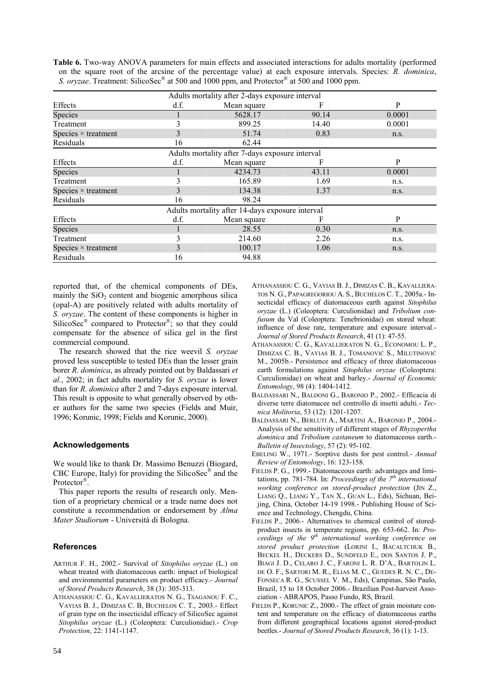**Table 6.** Two-way ANOVA parameters for main effects and associated interactions for adults mortality (performed on the square root of the arcsine of the percentage value) at each exposure intervals. Species: *R. dominica*, S. oryzae. Treatment: SilicoSec<sup>®</sup> at 500 and 1000 ppm, and Protector<sup>®</sup> at 500 and 1000 ppm.

| Adults mortality after 2-days exposure interval  |      |                                                 |       |        |  |  |  |
|--------------------------------------------------|------|-------------------------------------------------|-------|--------|--|--|--|
| Effects                                          | d.f. | Mean square                                     | F     | P      |  |  |  |
| Species                                          |      | 5628.17                                         | 90.14 | 0.0001 |  |  |  |
| Treatment                                        | 3    | 899.25                                          | 14.40 | 0.0001 |  |  |  |
| Species $\times$ treatment                       | 3    | 51.74                                           | 0.83  | n.s.   |  |  |  |
| Residuals                                        | 16   | 62.44                                           |       |        |  |  |  |
|                                                  |      | Adults mortality after 7-days exposure interval |       |        |  |  |  |
| Effects                                          | d.f. | Mean square                                     | F     | P      |  |  |  |
| Species                                          |      | 4234.73                                         | 43.11 | 0.0001 |  |  |  |
| Treatment                                        |      | 165.89                                          | 1.69  | n.s.   |  |  |  |
| Species $\times$ treatment                       | 3    | 134.38                                          | 1.37  | n.s.   |  |  |  |
| Residuals                                        | 16   | 98.24                                           |       |        |  |  |  |
| Adults mortality after 14-days exposure interval |      |                                                 |       |        |  |  |  |
| Effects                                          | d.f. | Mean square                                     | F     | P      |  |  |  |
| Species                                          |      | 28.55                                           | 0.30  | n.s.   |  |  |  |
| Treatment                                        | 3    | 214.60                                          | 2.26  | n.s.   |  |  |  |
| Species $\times$ treatment                       | 3    | 100.17                                          | 1.06  | n.s.   |  |  |  |
| Residuals                                        | 16   | 94.88                                           |       |        |  |  |  |

reported that, of the chemical components of DEs, mainly the  $SiO<sub>2</sub>$  content and biogenic amorphous silica (opal-A) are positively related with adults mortality of *S. oryzae*. The content of these components is higher in SilicoSec<sup>®</sup> compared to Protector<sup>®</sup>; so that they could compensate for the absence of silica gel in the first commercial compound.

The research showed that the rice weevil *S. oryzae* proved less susceptible to tested DEs than the lesser grain borer *R. dominica*, as already pointed out by Baldassari *et al.*, 2002; in fact adults mortality for *S. oryzae* is lower than for *R. dominica* after 2 and 7-days exposure interval. This result is opposite to what generally observed by other authors for the same two species (Fields and Muir, 1996; Korunic, 1998; Fields and Korunic, 2000).

# **Acknowledgements**

We would like to thank Dr. Massimo Benuzzi (Biogard, CBC Europe, Italy) for providing the SilicoSec<sup>®</sup> and the Protector<sup>®</sup>.

This paper reports the results of research only. Mention of a proprietary chemical or a trade name does not constitute a recommendation or endorsement by *Alma Mater Studiorum* - Università di Bologna.

## **References**

- ARTHUR F. H., 2002.- Survival of *Sitophilus oryzae* (L.) on wheat treated with diatomaceous earth: impact of biological and environmental parameters on product efficacy.- *Journal of Stored Products Research*, 38 (3): 305-313.
- ATHANASSIOU C. G., KAVALLIERATOS N. G., TSAGANOU F. C., VAYIAS B. J., DIMIZAS C. B, BUCHELOS C. T., 2003.- Effect of grain type on the insecticidal efficacy of SilicoSec against *Sitophilus oryzae* (L.) (Coleoptera: Curculionidae).- *Crop Protection*, 22: 1141-1147.
- ATHANASSIOU C. G., VAYIAS B. J., DIMIZAS C. B., KAVALLIERA-TOS N. G., PAPAGREGORIOU A. S., BUCHELOS C. T., 2005a.- Insecticidal efficacy of diatomaceous earth against *Sitophilus oryzae* (L.) (Coleoptera: Curculionidae) and *Tribolium confusum* du Val (Coleoptera: Tenebrionidae) on stored wheat: influence of dose rate, temperature and exposure interval.- *Journal of Stored Products Research*, 41 (1): 47-55.
- ATHANASSIOU C. G., KAVALLIERATOS N. G., ECONOMOU L. P., DIMIZAS C. B., VAYIAS B. J., TOMANOVIĆ S., MILUTINOVIĆ M., 2005b.- Persistence and efficacy of three diatomaceous earth formulations against *Sitophilus oryzae* (Coleoptera: Curculionidae) on wheat and barley.- *Journal of Economic Entomology*, 98 (4): 1404-1412.
- BALDASSARI N., BALDONI G., BARONIO P., 2002.- Efficacia di diverse terre diatomacee nel controllo di insetti adulti.- *Tecnica Molitoria*, 53 (12): 1201-1207.
- BALDASSARI N., BERLUTI A., MARTINI A., BARONIO P., 2004.- Analysis of the sensitivity of different stages of *Rhyzopertha dominica* and *Tribolium castaneum* to diatomaceous earth.- *Bulletin of Insectology*, 57 (2): 95-102.
- EBELING W., 1971.- Sorptive dusts for pest control.- *Annual Review of Entomology*, 16: 123-158.
- FIELDS P. G., 1999.- Diatomaceous earth: advantages and limitations, pp. 781-784. In: *Proceedings of the 7th international working conference on stored-product protection* (JIN Z., LIANG Q., LIANG Y., TAN X., GUAN L., Eds), Sichuan, Beijing, China, October 14-19 1998.- Publishing House of Science and Technology, Chengdu, China.
- FIELDS P., 2006.- Alternatives to chemical control of storedproduct insects in temperate regions, pp. 653-662. In: *Proceedings of the 9th international working conference on stored product protection* (LORINI I., BACALTCHUK B., BECKEL H., DECKERS D., SUNDFELD E., DOS SANTOS J. P., BIAGI J. D., CELARO J. C., FARONI L. R. D'A., BARTOLIN L. DE O. F., SARTORI M. R., ELIAS M. C., GUEDES R. N. C., DE-FONSECA R. G., SCUSSEL V. M., Eds), Campinas, São Paulo, Brazil, 15 to 18 October 2006.- Brazilian Post-harvest Association - ABRAPOS, Passo Fundo, RS, Brazil.
- FIELDS P., KORUNIC Z., 2000.- The effect of grain moisture content and temperature on the efficacy of diatomaceous earths from different geographical locations against stored-product beetles.- *Journal of Stored Products Research*, 36 (1): 1-13.